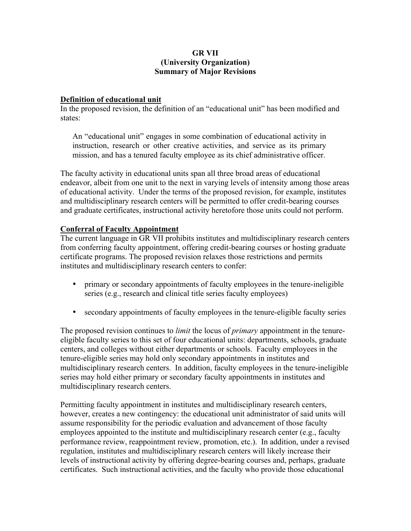## **GR VII (University Organization) Summary of Major Revisions**

## **Definition of educational unit**

In the proposed revision, the definition of an "educational unit" has been modified and states:

An "educational unit" engages in some combination of educational activity in instruction, research or other creative activities, and service as its primary mission, and has a tenured faculty employee as its chief administrative officer.

The faculty activity in educational units span all three broad areas of educational endeavor, albeit from one unit to the next in varying levels of intensity among those areas of educational activity. Under the terms of the proposed revision, for example, institutes and multidisciplinary research centers will be permitted to offer credit-bearing courses and graduate certificates, instructional activity heretofore those units could not perform.

## **Conferral of Faculty Appointment**

The current language in GR VII prohibits institutes and multidisciplinary research centers from conferring faculty appointment, offering credit-bearing courses or hosting graduate certificate programs. The proposed revision relaxes those restrictions and permits institutes and multidisciplinary research centers to confer:

- primary or secondary appointments of faculty employees in the tenure-ineligible series (e.g., research and clinical title series faculty employees)
- secondary appointments of faculty employees in the tenure-eligible faculty series

The proposed revision continues to *limit* the locus of *primary* appointment in the tenureeligible faculty series to this set of four educational units: departments, schools, graduate centers, and colleges without either departments or schools. Faculty employees in the tenure-eligible series may hold only secondary appointments in institutes and multidisciplinary research centers. In addition, faculty employees in the tenure-ineligible series may hold either primary or secondary faculty appointments in institutes and multidisciplinary research centers.

Permitting faculty appointment in institutes and multidisciplinary research centers, however, creates a new contingency: the educational unit administrator of said units will assume responsibility for the periodic evaluation and advancement of those faculty employees appointed to the institute and multidisciplinary research center (e.g., faculty performance review, reappointment review, promotion, etc.). In addition, under a revised regulation, institutes and multidisciplinary research centers will likely increase their levels of instructional activity by offering degree-bearing courses and, perhaps, graduate certificates. Such instructional activities, and the faculty who provide those educational